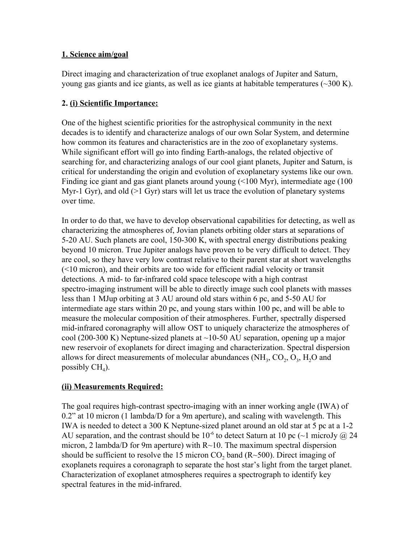### **1. Science aim/goal**

Direct imaging and characterization of true exoplanet analogs of Jupiter and Saturn, young gas giants and ice giants, as well as ice giants at habitable temperatures  $(\sim 300 \text{ K})$ .

## **2. (i) Scientific Importance:**

One of the highest scientific priorities for the astrophysical community in the next decades is to identify and characterize analogs of our own Solar System, and determine how common its features and characteristics are in the zoo of exoplanetary systems. While significant effort will go into finding Earth-analogs, the related objective of searching for, and characterizing analogs of our cool giant planets, Jupiter and Saturn, is critical for understanding the origin and evolution of exoplanetary systems like our own. Finding ice giant and gas giant planets around young (<100 Myr), intermediate age (100 Myr-1 Gyr), and old (>1 Gyr) stars will let us trace the evolution of planetary systems over time.

In order to do that, we have to develop observational capabilities for detecting, as well as characterizing the atmospheres of, Jovian planets orbiting older stars at separations of 5-20 AU. Such planets are cool, 150-300 K, with spectral energy distributions peaking beyond 10 micron. True Jupiter analogs have proven to be very difficult to detect. They are cool, so they have very low contrast relative to their parent star at short wavelengths (<10 micron), and their orbits are too wide for efficient radial velocity or transit detections. A mid- to far-infrared cold space telescope with a high contrast spectro-imaging instrument will be able to directly image such cool planets with masses less than 1 MJup orbiting at 3 AU around old stars within 6 pc, and 5-50 AU for intermediate age stars within 20 pc, and young stars within 100 pc, and will be able to measure the molecular composition of their atmospheres. Further, spectrally dispersed mid-infrared coronagraphy will allow OST to uniquely characterize the atmospheres of cool (200-300 K) Neptune-sized planets at  $\sim$ 10-50 AU separation, opening up a major new reservoir of exoplanets for direct imaging and characterization. Spectral dispersion allows for direct measurements of molecular abundances  $(NH_3, CO_2, O_3, H_2O$  and possibly  $CH<sub>4</sub>$ ).

## **(ii) Measurements Required:**

The goal requires high-contrast spectro-imaging with an inner working angle (IWA) of 0.2" at 10 micron (1 lambda/D for a 9m aperture), and scaling with wavelength. This IWA is needed to detect a 300 K Neptune-sized planet around an old star at 5 pc at a 1-2 AU separation, and the contrast should be  $10^{-6}$  to detect Saturn at 10 pc ( $\sim$ 1 microJy @ 24 micron, 2 lambda/D for 9m aperture) with  $R \sim 10$ . The maximum spectral dispersion should be sufficient to resolve the 15 micron  $CO_2$  band (R~500). Direct imaging of exoplanets requires a coronagraph to separate the host star's light from the target planet. Characterization of exoplanet atmospheres requires a spectrograph to identify key spectral features in the mid-infrared.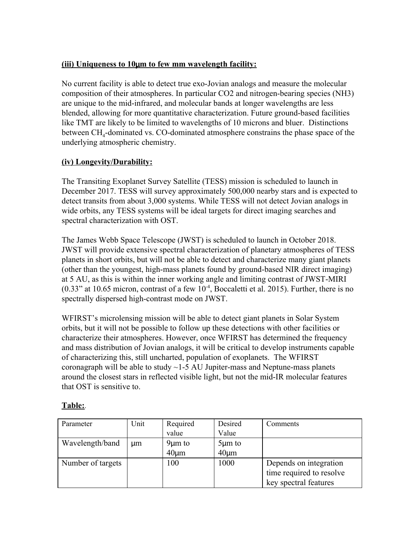### **(iii) Uniqueness to 10**µ**m to few mm wavelength facility:**

No current facility is able to detect true exo-Jovian analogs and measure the molecular composition of their atmospheres. In particular CO2 and nitrogen-bearing species (NH3) are unique to the mid-infrared, and molecular bands at longer wavelengths are less blended, allowing for more quantitative characterization. Future ground-based facilities like TMT are likely to be limited to wavelengths of 10 microns and bluer. Distinctions between CH<sub>4</sub>-dominated vs. CO-dominated atmosphere constrains the phase space of the underlying atmospheric chemistry.

### **(iv) Longevity/Durability:**

The Transiting Exoplanet Survey Satellite (TESS) mission is scheduled to launch in December 2017. TESS will survey approximately 500,000 nearby stars and is expected to detect transits from about 3,000 systems. While TESS will not detect Jovian analogs in wide orbits, any TESS systems will be ideal targets for direct imaging searches and spectral characterization with OST.

The James Webb Space Telescope (JWST) is scheduled to launch in October 2018. JWST will provide extensive spectral characterization of planetary atmospheres of TESS planets in short orbits, but will not be able to detect and characterize many giant planets (other than the youngest, high-mass planets found by ground-based NIR direct imaging) at 5 AU, as this is within the inner working angle and limiting contrast of JWST-MIRI  $(0.33"$  at 10.65 micron, contrast of a few  $10^{-4}$ , Boccaletti et al. 2015). Further, there is no spectrally dispersed high-contrast mode on JWST.

WFIRST's microlensing mission will be able to detect giant planets in Solar System orbits, but it will not be possible to follow up these detections with other facilities or characterize their atmospheres. However, once WFIRST has determined the frequency and mass distribution of Jovian analogs, it will be critical to develop instruments capable of characterizing this, still uncharted, population of exoplanets. The WFIRST coronagraph will be able to study  $\sim$  1-5 AU Jupiter-mass and Neptune-mass planets around the closest stars in reflected visible light, but not the mid-IR molecular features that OST is sensitive to.

| Parameter         | Unit | Required     | Desired      | Comments                 |
|-------------------|------|--------------|--------------|--------------------------|
|                   |      | value        | Value        |                          |
| Wavelength/band   | um   | $9 \mu m$ to | $5 \mu m$ to |                          |
|                   |      | $40 \mu m$   | $40 \mu m$   |                          |
| Number of targets |      | 100          | 1000         | Depends on integration   |
|                   |      |              |              | time required to resolve |
|                   |      |              |              | key spectral features    |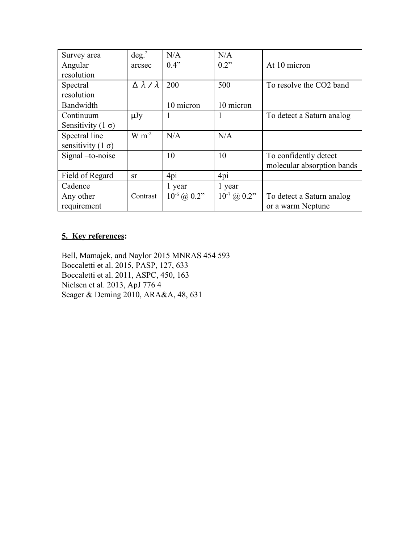| Survey area              | deg. <sup>2</sup>          | N/A                   | N/A                   |                            |  |
|--------------------------|----------------------------|-----------------------|-----------------------|----------------------------|--|
| Angular                  | arcsec                     | 0.4"                  | 0.2"                  | At 10 micron               |  |
| resolution               |                            |                       |                       |                            |  |
| Spectral                 | $\Delta \lambda / \lambda$ | 200                   | 500                   | To resolve the CO2 band    |  |
| resolution               |                            |                       |                       |                            |  |
| Bandwidth                |                            | 10 micron             | 10 micron             |                            |  |
| Continuum                | $\mu Jy$                   |                       |                       | To detect a Saturn analog  |  |
| Sensitivity $(1 \sigma)$ |                            |                       |                       |                            |  |
| Spectral line            | $W m^{-2}$                 | N/A                   | N/A                   |                            |  |
| sensitivity $(1 \sigma)$ |                            |                       |                       |                            |  |
| Signal -to-noise         |                            | 10                    | 10                    | To confidently detect      |  |
|                          |                            |                       |                       | molecular absorption bands |  |
| Field of Regard          | <b>Sr</b>                  | 4pi                   | 4pi                   |                            |  |
| Cadence                  |                            | 1 year                | 1 year                |                            |  |
| Any other                | Contrast                   | $10^{-6}$ (a) $0.2$ " | $10^{-7}$ (a) $0.2$ " | To detect a Saturn analog  |  |
| requirement              |                            |                       |                       | or a warm Neptune          |  |

# **5. Key references:**

Bell, Mamajek, and Naylor 2015 MNRAS 454 593 Boccaletti et al. 2015, PASP, 127, 633 Boccaletti et al. 2011, ASPC, 450, 163 Nielsen et al. 2013, ApJ 776 4 Seager & Deming 2010, ARA&A, 48, 631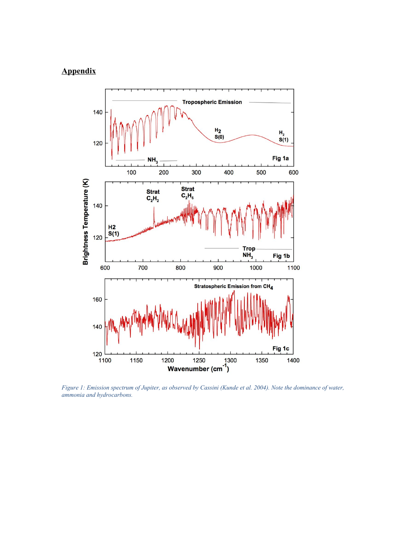# **Appendix**



*Figure 1: Emission spectrum of Jupiter, as observed by Cassini (Kunde et al. 2004). Note the dominance of water, ammonia and hydrocarbons.*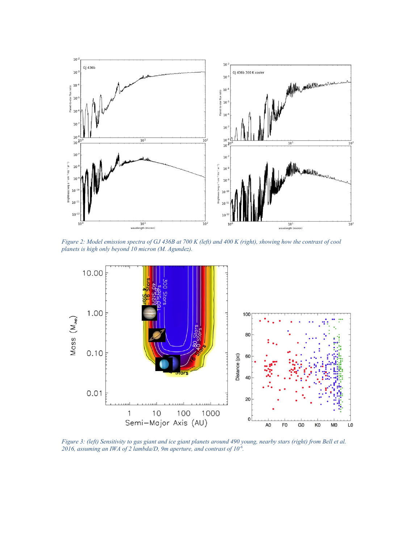

*Figure 2: Model emission spectra of GJ 436B at 700 K (left) and 400 K (right), showing how the contrast of cool planets is high only beyond 10 micron (M. Agundez).*



*Figure 3: (left) Sensitivity to gas giant and ice giant planets around 490 young, nearby stars (right) from Bell et al. 2016, assuming an IWA of 2 lambda/D, 9m aperture, and contrast of 10-6 .*